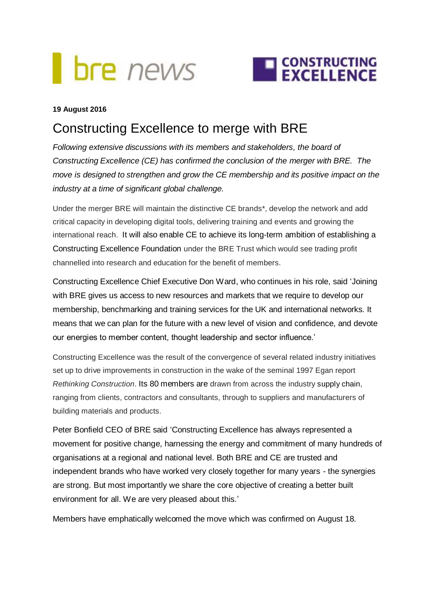## **bre** news



## **19 August 2016**

## Constructing Excellence to merge with BRE

*Following extensive discussions with its members and stakeholders, the board of Constructing Excellence (CE) has confirmed the conclusion of the merger with BRE. The move is designed to strengthen and grow the CE membership and its positive impact on the industry at a time of significant global challenge.* 

Under the merger BRE will maintain the distinctive CE brands\*, develop the network and add critical capacity in developing digital tools, delivering training and events and growing the international reach. It will also enable CE to achieve its long-term ambition of establishing a Constructing Excellence Foundation under the BRE Trust which would see trading profit channelled into research and education for the benefit of members.

Constructing Excellence Chief Executive Don Ward, who continues in his role, said 'Joining with BRE gives us access to new resources and markets that we require to develop our membership, benchmarking and training services for the UK and international networks. It means that we can plan for the future with a new level of vision and confidence, and devote our energies to member content, thought leadership and sector influence.'

Constructing Excellence was the result of the convergence of several related industry initiatives set up to drive improvements in construction in the wake of the seminal 1997 Egan report *Rethinking Construction*. Its 80 members are drawn from across the industry [supply chain,](https://en.wikipedia.org/wiki/Supply_chain) ranging from clients, contractors and consultants, through to suppliers and manufacturers of building materials and products.

Peter Bonfield CEO of BRE said 'Constructing Excellence has always represented a movement for positive change, harnessing the energy and commitment of many hundreds of organisations at a regional and national level. Both BRE and CE are trusted and independent brands who have worked very closely together for many years - the synergies are strong. But most importantly we share the core objective of creating a better built environment for all. We are very pleased about this.'

Members have emphatically welcomed the move which was confirmed on August 18.